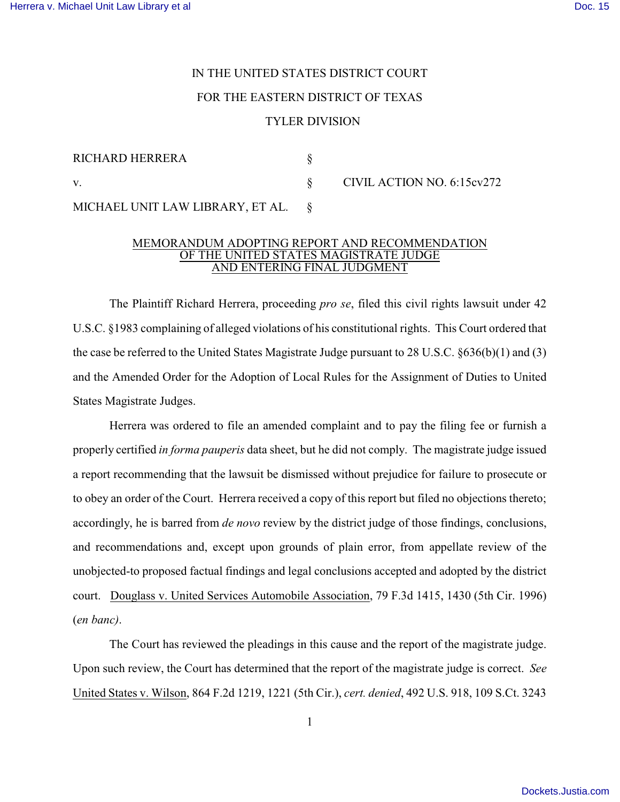## IN THE UNITED STATES DISTRICT COURT FOR THE EASTERN DISTRICT OF TEXAS TYLER DIVISION

| <b>RICHARD HERRERA</b>                |                            |
|---------------------------------------|----------------------------|
| V.                                    | CIVIL ACTION NO. 6:15cv272 |
| MICHAEL UNIT LAW LIBRARY, ET AL. $\S$ |                            |

## MEMORANDUM ADOPTING REPORT AND RECOMMENDATION OF THE UNITED STATES MAGISTRATE JUDGE AND ENTERING FINAL JUDGMENT

The Plaintiff Richard Herrera, proceeding *pro se*, filed this civil rights lawsuit under 42 U.S.C. §1983 complaining of alleged violations of his constitutional rights. This Court ordered that the case be referred to the United States Magistrate Judge pursuant to 28 U.S.C. §636(b)(1) and (3) and the Amended Order for the Adoption of Local Rules for the Assignment of Duties to United States Magistrate Judges.

Herrera was ordered to file an amended complaint and to pay the filing fee or furnish a properly certified *in forma pauperis* data sheet, but he did not comply. The magistrate judge issued a report recommending that the lawsuit be dismissed without prejudice for failure to prosecute or to obey an order of the Court. Herrera received a copy of this report but filed no objections thereto; accordingly, he is barred from *de novo* review by the district judge of those findings, conclusions, and recommendations and, except upon grounds of plain error, from appellate review of the unobjected-to proposed factual findings and legal conclusions accepted and adopted by the district court. Douglass v. United Services Automobile Association, 79 F.3d 1415, 1430 (5th Cir. 1996) (*en banc)*.

The Court has reviewed the pleadings in this cause and the report of the magistrate judge. Upon such review, the Court has determined that the report of the magistrate judge is correct. *See* United States v. Wilson, 864 F.2d 1219, 1221 (5th Cir.), *cert. denied*, 492 U.S. 918, 109 S.Ct. 3243